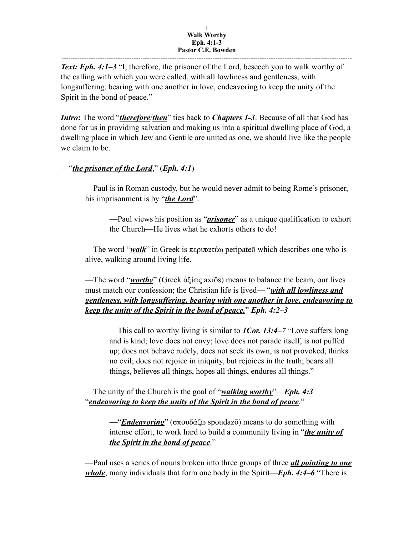## 1 **Walk Worthy Eph. 4:1-3 Pastor C.E. Bowden** ---------------------------------------------------------------------------------------------------------------------------------

*Text: Eph. 4:1–3* "I, therefore, the prisoner of the Lord, beseech you to walk worthy of the calling with which you were called, with all lowliness and gentleness, with longsuffering, bearing with one another in love, endeavoring to keep the unity of the Spirit in the bond of peace."

*Intro*: The word "*therefore/then*" ties back to *Chapters 1-3*. Because of all that God has done for us in providing salvation and making us into a spiritual dwelling place of God, a dwelling place in which Jew and Gentile are united as one, we should live like the people we claim to be.

## —"*the prisoner of the Lord*," (*Eph. 4:1*)

—Paul is in Roman custody, but he would never admit to being Rome's prisoner, his imprisonment is by "*the Lord*".

—Paul views his position as "*prisoner*" as a unique qualification to exhort the Church—He lives what he exhorts others to do!

—The word "*walk*" in Greek is περιπατέω peripateō which describes one who is alive, walking around living life.

—The word "*worthy*" (Greek ἀξίως axiōs) means to balance the beam, our lives must match our confession; the Christian life is lived— "*with all lowliness and gentleness, with longsuffering, bearing with one another in love, endeavoring to keep the unity of the Spirit in the bond of peace.*" *Eph. 4:2–3*

—This call to worthy living is similar to *1Cor. 13:4–7* "Love suffers long and is kind; love does not envy; love does not parade itself, is not puffed up; does not behave rudely, does not seek its own, is not provoked, thinks no evil; does not rejoice in iniquity, but rejoices in the truth; bears all things, believes all things, hopes all things, endures all things."

—The unity of the Church is the goal of "*walking worthy*"—*Eph. 4:3* "*endeavoring to keep the unity of the Spirit in the bond of peace*."

> —"*Endeavoring*" (σπουδάζω spoudazō) means to do something with intense effort, to work hard to build a community living in "*the unity of the Spirit in the bond of peace*."

—Paul uses a series of nouns broken into three groups of three *all pointing to one whole*; many individuals that form one body in the Spirit—*Eph. 4:4–6* "There is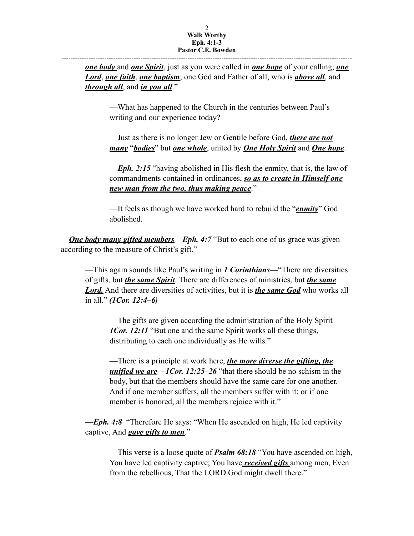*one body* and *one Spirit*, just as you were called in *one hope* of your calling; *one Lord*, *one faith*, *one baptism*; one God and Father of all, who is *above all*, and *through all*, and *in you all*."

—What has happened to the Church in the centuries between Paul's writing and our experience today?

—Just as there is no longer Jew or Gentile before God, *there are not many* "*bodies*" but *one whole*, united by *One Holy Spirit* and *One hope*.

—*Eph. 2:15* "having abolished in His flesh the enmity, that is, the law of commandments contained in ordinances, *so as to create in Himself one new man from the two, thus making peace*."

—It feels as though we have worked hard to rebuild the "*enmity*" God abolished.

—*One body many gifted members*—*Eph. 4:7* "But to each one of us grace was given according to the measure of Christ's gift."

—This again sounds like Paul's writing in *1 Corinthians—*"There are diversities of gifts, but *the same Spirit*. There are differences of ministries, but *the same Lord.* And there are diversities of activities, but it is *the same God* who works all in all." *(1Cor. 12:4–6)*

—The gifts are given according the administration of the Holy Spirit— *1Cor. 12:11* "But one and the same Spirit works all these things, distributing to each one individually as He wills."

—There is a principle at work here, *the more diverse the gifting, the unified we are*—*1Cor. 12:25–26* "that there should be no schism in the body, but that the members should have the same care for one another. And if one member suffers, all the members suffer with it; or if one member is honored, all the members rejoice with it."

—*Eph. 4:8* "Therefore He says: "When He ascended on high, He led captivity captive, And *gave gifts to men*."

—This verse is a loose quote of *Psalm 68:18* "You have ascended on high, You have led captivity captive; You have *received gifts* among men, Even from the rebellious, That the LORD God might dwell there."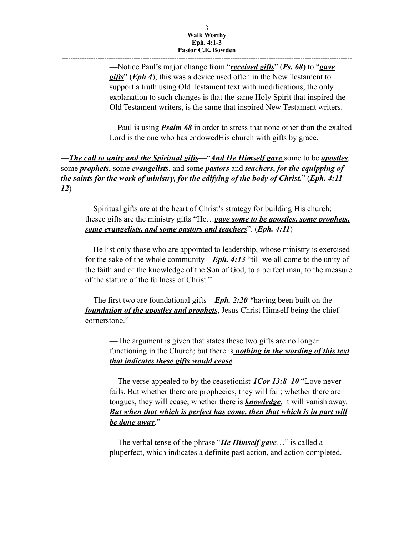—Notice Paul's major change from "*received gifts*" (*Ps. 68*) to "*gave gifts*" (*Eph 4*); this was a device used often in the New Testament to support a truth using Old Testament text with modifications; the only explanation to such changes is that the same Holy Spirit that inspired the Old Testament writers, is the same that inspired New Testament writers.

—Paul is using *Psalm 68* in order to stress that none other than the exalted Lord is the one who has endowedHis church with gifts by grace.

—*The call to unity and the Spiritual gifts*—"*And He Himself gave* some to be *apostles*, some *prophets*, some *evangelists*, and some *pastors* and *teachers*, *for the equipping of the saints for the work of ministry, for the edifying of the body of Christ.*" (*Eph. 4:11– 12*)

—Spiritual gifts are at the heart of Christ's strategy for building His church; thesec gifts are the ministry gifts "He…*gave some to be apostles, some prophets, some evangelists, and some pastors and teachers*". (*Eph. 4:11*)

—He list only those who are appointed to leadership, whose ministry is exercised for the sake of the whole community—*Eph. 4:13* "till we all come to the unity of the faith and of the knowledge of the Son of God, to a perfect man, to the measure of the stature of the fullness of Christ."

—The first two are foundational gifts—*Eph. 2:20 "*having been built on the *foundation of the apostles and prophets*, Jesus Christ Himself being the chief cornerstone."

—The argument is given that states these two gifts are no longer functioning in the Church; but there is *nothing in the wording of this text that indicates these gifts would cease*.

—The verse appealed to by the ceasetionist-*1Cor 13:8–10* "Love never fails. But whether there are prophecies, they will fail; whether there are tongues, they will cease; whether there is *knowledge*, it will vanish away. *But when that which is perfect has come, then that which is in part will be done away*."

—The verbal tense of the phrase "*He Himself gave*…" is called a pluperfect, which indicates a definite past action, and action completed.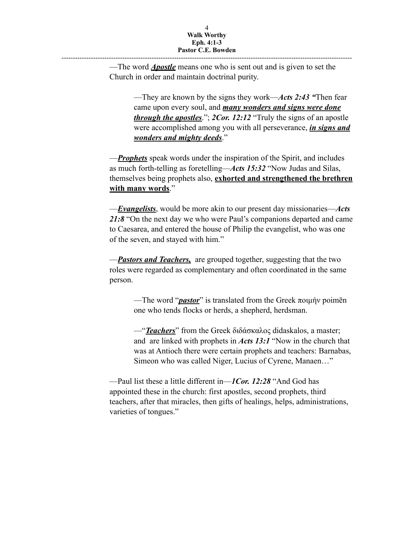## 4 **Walk Worthy Eph. 4:1-3 Pastor C.E. Bowden** ---------------------------------------------------------------------------------------------------------------------------------

—The word *Apostle* means one who is sent out and is given to set the Church in order and maintain doctrinal purity.

> —They are known by the signs they work—*Acts 2:43 "*Then fear came upon every soul, and *many wonders and signs were done through the apostles*."; *2Cor. 12:12* "Truly the signs of an apostle were accomplished among you with all perseverance, *in signs and wonders and mighty deeds*."

—*Prophets* speak words under the inspiration of the Spirit, and includes as much forth-telling as foretelling—*Acts 15:32* "Now Judas and Silas, themselves being prophets also, **exhorted and strengthened the brethren with many words**."

—*Evangelists*, would be more akin to our present day missionaries—*Acts 21:8* "On the next day we who were Paul's companions departed and came to Caesarea, and entered the house of Philip the evangelist, who was one of the seven, and stayed with him."

—*Pastors and Teachers,* are grouped together, suggesting that the two roles were regarded as complementary and often coordinated in the same person.

> —The word "*pastor*" is translated from the Greek ποιμήν poimen one who tends flocks or herds, a shepherd, herdsman.

—"*Teachers*" from the Greek διδάσκαλος didaskalos, a master; and are linked with prophets in *Acts 13:1* "Now in the church that was at Antioch there were certain prophets and teachers: Barnabas, Simeon who was called Niger, Lucius of Cyrene, Manaen…"

—Paul list these a little different in—*1Cor. 12:28* "And God has appointed these in the church: first apostles, second prophets, third teachers, after that miracles, then gifts of healings, helps, administrations, varieties of tongues."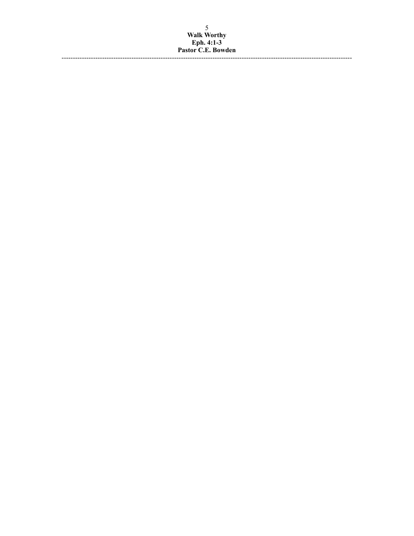<sup>5</sup><br>Walk Worthy<br>Eph. 4:1-3<br>Pastor C.E. Bowden